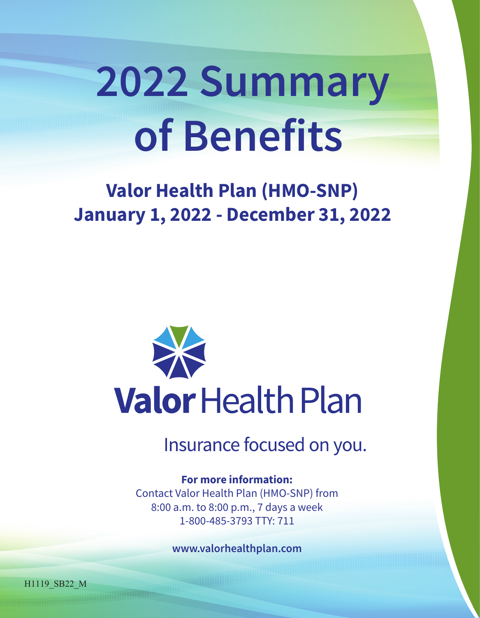# **2022 Summary of Benefits**

## **Valor Health Plan (HMO-SNP) January 1, 2022 - December 31, 2022**



Insurance focused on you.

#### **For more information:**

Contact Valor Health Plan (HMO-SNP) from 8:00 a.m. to 8:00 p.m., 7 days a week 1-800-485-3793 TTY: 711

**www.valorhealthplan.com**

H1119\_SB22\_M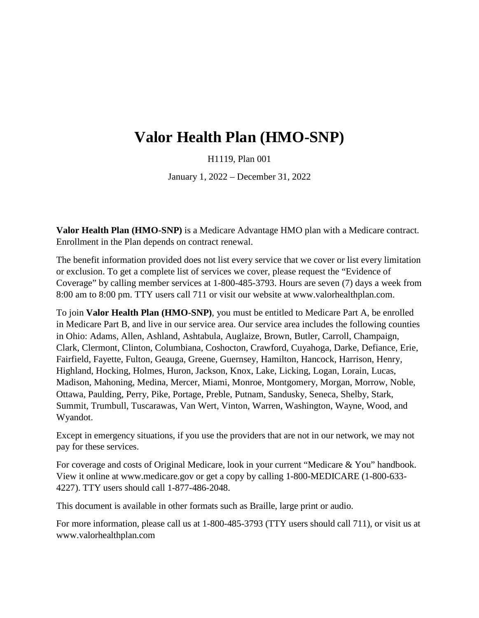### **Valor Health Plan (HMO-SNP)**

H1119, Plan 001

January 1, 2022 – December 31, 2022

**Valor Health Plan (HMO-SNP)** is a Medicare Advantage HMO plan with a Medicare contract. Enrollment in the Plan depends on contract renewal.

The benefit information provided does not list every service that we cover or list every limitation or exclusion. To get a complete list of services we cover, please request the "Evidence of Coverage" by calling member services at 1-800-485-3793. Hours are seven (7) days a week from 8:00 am to 8:00 pm. TTY users call 711 or visit our website at [www.valorhealthplan.com.](http://www.valorhealthplan.com/)

To join **Valor Health Plan (HMO-SNP)**, you must be entitled to Medicare Part A, be enrolled in Medicare Part B, and live in our service area. Our service area includes the following counties in Ohio: Adams, Allen, Ashland, Ashtabula, Auglaize, Brown, Butler, Carroll, Champaign, Clark, Clermont, Clinton, Columbiana, Coshocton, Crawford, Cuyahoga, Darke, Defiance, Erie, Fairfield, Fayette, Fulton, Geauga, Greene, Guernsey, Hamilton, Hancock, Harrison, Henry, Highland, Hocking, Holmes, Huron, Jackson, Knox, Lake, Licking, Logan, Lorain, Lucas, Madison, Mahoning, Medina, Mercer, Miami, Monroe, Montgomery, Morgan, Morrow, Noble, Ottawa, Paulding, Perry, Pike, Portage, Preble, Putnam, Sandusky, Seneca, Shelby, Stark, Summit, Trumbull, Tuscarawas, Van Wert, Vinton, Warren, Washington, Wayne, Wood, and Wyandot.

Except in emergency situations, if you use the providers that are not in our network, we may not pay for these services.

For coverage and costs of Original Medicare, look in your current "Medicare & You" handbook. View it online at [www.medicare.gov](http://www.medicare.gov/) or get a copy by calling 1-800-MEDICARE (1-800-633- 4227). TTY users should call 1-877-486-2048.

This document is available in other formats such as Braille, large print or audio.

For more information, please call us at 1-800-485-3793 (TTY users should call 711), or visit us at [www.valorhealthplan.com](http://www.valorhealthplan.com/)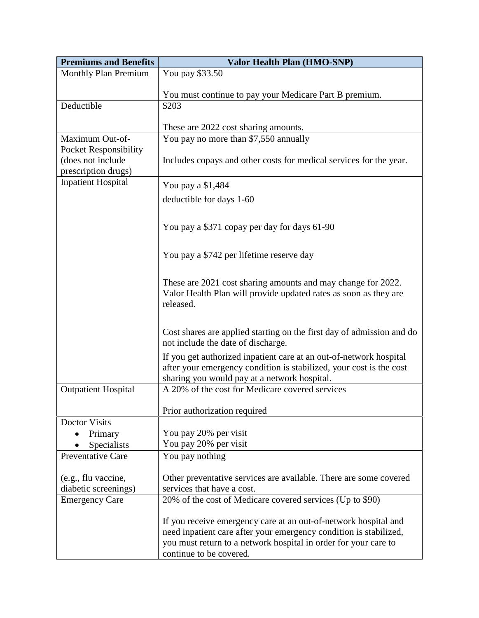| <b>Premiums and Benefits</b>                                             | <b>Valor Health Plan (HMO-SNP)</b>                                                                                                                                                                                                 |  |  |  |
|--------------------------------------------------------------------------|------------------------------------------------------------------------------------------------------------------------------------------------------------------------------------------------------------------------------------|--|--|--|
| <b>Monthly Plan Premium</b>                                              | You pay \$33.50                                                                                                                                                                                                                    |  |  |  |
|                                                                          | You must continue to pay your Medicare Part B premium.                                                                                                                                                                             |  |  |  |
| Deductible                                                               | \$203                                                                                                                                                                                                                              |  |  |  |
|                                                                          | These are 2022 cost sharing amounts.                                                                                                                                                                                               |  |  |  |
| Maximum Out-of-                                                          | You pay no more than \$7,550 annually                                                                                                                                                                                              |  |  |  |
| <b>Pocket Responsibility</b><br>(does not include<br>prescription drugs) | Includes copays and other costs for medical services for the year.                                                                                                                                                                 |  |  |  |
| <b>Inpatient Hospital</b>                                                | You pay a \$1,484                                                                                                                                                                                                                  |  |  |  |
|                                                                          | deductible for days 1-60                                                                                                                                                                                                           |  |  |  |
|                                                                          |                                                                                                                                                                                                                                    |  |  |  |
|                                                                          | You pay a \$371 copay per day for days 61-90                                                                                                                                                                                       |  |  |  |
|                                                                          | You pay a \$742 per lifetime reserve day                                                                                                                                                                                           |  |  |  |
|                                                                          | These are 2021 cost sharing amounts and may change for 2022.<br>Valor Health Plan will provide updated rates as soon as they are<br>released.                                                                                      |  |  |  |
|                                                                          | Cost shares are applied starting on the first day of admission and do<br>not include the date of discharge.                                                                                                                        |  |  |  |
|                                                                          | If you get authorized inpatient care at an out-of-network hospital<br>after your emergency condition is stabilized, your cost is the cost<br>sharing you would pay at a network hospital.                                          |  |  |  |
| <b>Outpatient Hospital</b>                                               | A 20% of the cost for Medicare covered services                                                                                                                                                                                    |  |  |  |
|                                                                          | Prior authorization required                                                                                                                                                                                                       |  |  |  |
| <b>Doctor Visits</b>                                                     |                                                                                                                                                                                                                                    |  |  |  |
| Primary                                                                  | You pay 20% per visit                                                                                                                                                                                                              |  |  |  |
| Specialists<br><b>Preventative Care</b>                                  | You pay 20% per visit<br>You pay nothing                                                                                                                                                                                           |  |  |  |
|                                                                          |                                                                                                                                                                                                                                    |  |  |  |
| (e.g., flu vaccine,                                                      | Other preventative services are available. There are some covered                                                                                                                                                                  |  |  |  |
| diabetic screenings)                                                     | services that have a cost.                                                                                                                                                                                                         |  |  |  |
| <b>Emergency Care</b>                                                    | 20% of the cost of Medicare covered services (Up to \$90)                                                                                                                                                                          |  |  |  |
|                                                                          | If you receive emergency care at an out-of-network hospital and<br>need inpatient care after your emergency condition is stabilized,<br>you must return to a network hospital in order for your care to<br>continue to be covered. |  |  |  |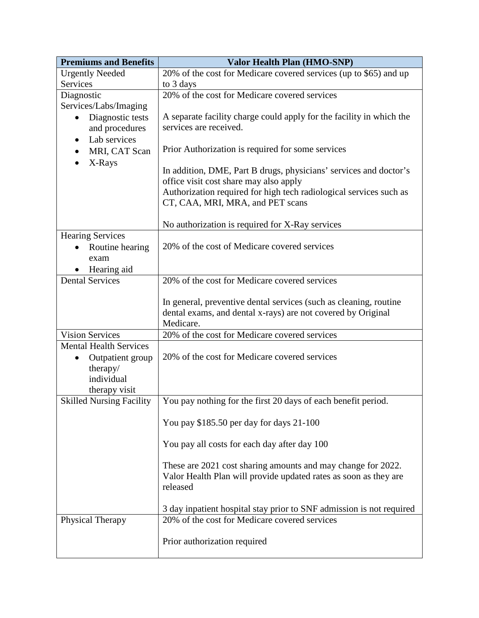| <b>Premiums and Benefits</b>    | Valor Health Plan (HMO-SNP)                                                                                                                  |
|---------------------------------|----------------------------------------------------------------------------------------------------------------------------------------------|
| <b>Urgently Needed</b>          | 20% of the cost for Medicare covered services (up to \$65) and up                                                                            |
| Services                        | to 3 days                                                                                                                                    |
| Diagnostic                      | 20% of the cost for Medicare covered services                                                                                                |
| Services/Labs/Imaging           |                                                                                                                                              |
| Diagnostic tests                | A separate facility charge could apply for the facility in which the                                                                         |
| and procedures                  | services are received.                                                                                                                       |
| Lab services<br>$\bullet$       |                                                                                                                                              |
| MRI, CAT Scan<br>$\bullet$      | Prior Authorization is required for some services                                                                                            |
| X-Rays                          | In addition, DME, Part B drugs, physicians' services and doctor's                                                                            |
|                                 | office visit cost share may also apply                                                                                                       |
|                                 | Authorization required for high tech radiological services such as                                                                           |
|                                 | CT, CAA, MRI, MRA, and PET scans                                                                                                             |
|                                 |                                                                                                                                              |
|                                 | No authorization is required for X-Ray services                                                                                              |
| <b>Hearing Services</b>         |                                                                                                                                              |
| Routine hearing                 | 20% of the cost of Medicare covered services                                                                                                 |
| exam                            |                                                                                                                                              |
| Hearing aid                     |                                                                                                                                              |
| <b>Dental Services</b>          | 20% of the cost for Medicare covered services                                                                                                |
|                                 |                                                                                                                                              |
|                                 | In general, preventive dental services (such as cleaning, routine<br>dental exams, and dental x-rays) are not covered by Original            |
|                                 | Medicare.                                                                                                                                    |
| <b>Vision Services</b>          | 20% of the cost for Medicare covered services                                                                                                |
| <b>Mental Health Services</b>   |                                                                                                                                              |
| Outpatient group                | 20% of the cost for Medicare covered services                                                                                                |
| therapy/                        |                                                                                                                                              |
| individual                      |                                                                                                                                              |
| therapy visit                   |                                                                                                                                              |
| <b>Skilled Nursing Facility</b> | You pay nothing for the first 20 days of each benefit period.                                                                                |
|                                 | You pay \$185.50 per day for days 21-100                                                                                                     |
|                                 | You pay all costs for each day after day 100                                                                                                 |
|                                 | These are 2021 cost sharing amounts and may change for 2022.<br>Valor Health Plan will provide updated rates as soon as they are<br>released |
|                                 | 3 day inpatient hospital stay prior to SNF admission is not required                                                                         |
| Physical Therapy                | 20% of the cost for Medicare covered services                                                                                                |
|                                 | Prior authorization required                                                                                                                 |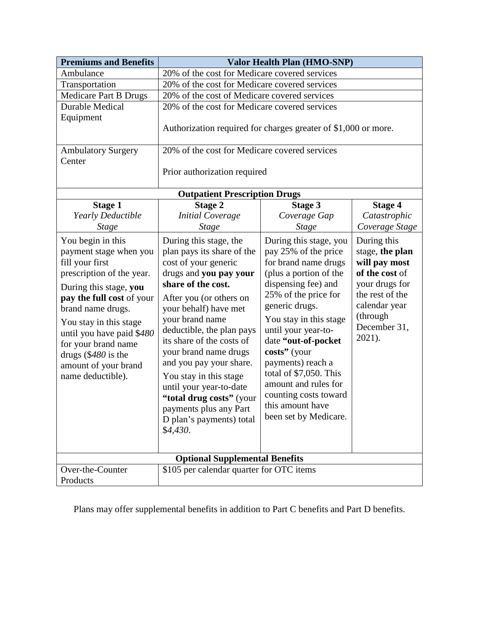| <b>Premiums and Benefits</b>                                                                                                                                                                                                                                                                                              | Valor Health Plan (HMO-SNP)                                                                                                                                                                                                                                                                                                                                                                                                                                          |                                                                                                                                                                                                                                                                                                                                                                                                        |                                                                                                                                                               |  |
|---------------------------------------------------------------------------------------------------------------------------------------------------------------------------------------------------------------------------------------------------------------------------------------------------------------------------|----------------------------------------------------------------------------------------------------------------------------------------------------------------------------------------------------------------------------------------------------------------------------------------------------------------------------------------------------------------------------------------------------------------------------------------------------------------------|--------------------------------------------------------------------------------------------------------------------------------------------------------------------------------------------------------------------------------------------------------------------------------------------------------------------------------------------------------------------------------------------------------|---------------------------------------------------------------------------------------------------------------------------------------------------------------|--|
| Ambulance                                                                                                                                                                                                                                                                                                                 | 20% of the cost for Medicare covered services                                                                                                                                                                                                                                                                                                                                                                                                                        |                                                                                                                                                                                                                                                                                                                                                                                                        |                                                                                                                                                               |  |
| Transportation                                                                                                                                                                                                                                                                                                            | 20% of the cost for Medicare covered services                                                                                                                                                                                                                                                                                                                                                                                                                        |                                                                                                                                                                                                                                                                                                                                                                                                        |                                                                                                                                                               |  |
| Medicare Part B Drugs                                                                                                                                                                                                                                                                                                     | 20% of the cost of Medicare covered services                                                                                                                                                                                                                                                                                                                                                                                                                         |                                                                                                                                                                                                                                                                                                                                                                                                        |                                                                                                                                                               |  |
| <b>Durable Medical</b>                                                                                                                                                                                                                                                                                                    | 20% of the cost for Medicare covered services                                                                                                                                                                                                                                                                                                                                                                                                                        |                                                                                                                                                                                                                                                                                                                                                                                                        |                                                                                                                                                               |  |
| Equipment                                                                                                                                                                                                                                                                                                                 |                                                                                                                                                                                                                                                                                                                                                                                                                                                                      |                                                                                                                                                                                                                                                                                                                                                                                                        |                                                                                                                                                               |  |
|                                                                                                                                                                                                                                                                                                                           | Authorization required for charges greater of \$1,000 or more.                                                                                                                                                                                                                                                                                                                                                                                                       |                                                                                                                                                                                                                                                                                                                                                                                                        |                                                                                                                                                               |  |
| <b>Ambulatory Surgery</b>                                                                                                                                                                                                                                                                                                 | 20% of the cost for Medicare covered services                                                                                                                                                                                                                                                                                                                                                                                                                        |                                                                                                                                                                                                                                                                                                                                                                                                        |                                                                                                                                                               |  |
| Center                                                                                                                                                                                                                                                                                                                    |                                                                                                                                                                                                                                                                                                                                                                                                                                                                      |                                                                                                                                                                                                                                                                                                                                                                                                        |                                                                                                                                                               |  |
|                                                                                                                                                                                                                                                                                                                           | Prior authorization required                                                                                                                                                                                                                                                                                                                                                                                                                                         |                                                                                                                                                                                                                                                                                                                                                                                                        |                                                                                                                                                               |  |
|                                                                                                                                                                                                                                                                                                                           | <b>Outpatient Prescription Drugs</b>                                                                                                                                                                                                                                                                                                                                                                                                                                 |                                                                                                                                                                                                                                                                                                                                                                                                        |                                                                                                                                                               |  |
| <b>Stage 1</b>                                                                                                                                                                                                                                                                                                            | <b>Stage 2</b>                                                                                                                                                                                                                                                                                                                                                                                                                                                       | <b>Stage 3</b>                                                                                                                                                                                                                                                                                                                                                                                         | <b>Stage 4</b>                                                                                                                                                |  |
| Yearly Deductible                                                                                                                                                                                                                                                                                                         | <b>Initial Coverage</b>                                                                                                                                                                                                                                                                                                                                                                                                                                              | Coverage Gap                                                                                                                                                                                                                                                                                                                                                                                           | Catastrophic                                                                                                                                                  |  |
| <b>Stage</b>                                                                                                                                                                                                                                                                                                              | <b>Stage</b>                                                                                                                                                                                                                                                                                                                                                                                                                                                         | <b>Stage</b>                                                                                                                                                                                                                                                                                                                                                                                           | Coverage Stage                                                                                                                                                |  |
| You begin in this<br>payment stage when you<br>fill your first<br>prescription of the year.<br>During this stage, you<br>pay the full cost of your<br>brand name drugs.<br>You stay in this stage<br>until you have paid \$480<br>for your brand name<br>drugs (\$480 is the<br>amount of your brand<br>name deductible). | During this stage, the<br>plan pays its share of the<br>cost of your generic<br>drugs and you pay your<br>share of the cost.<br>After you (or others on<br>your behalf) have met<br>your brand name<br>deductible, the plan pays<br>its share of the costs of<br>your brand name drugs<br>and you pay your share.<br>You stay in this stage<br>until your year-to-date<br>"total drug costs" (your<br>payments plus any Part<br>D plan's payments) total<br>\$4,430. | During this stage, you<br>pay 25% of the price<br>for brand name drugs<br>(plus a portion of the<br>dispensing fee) and<br>25% of the price for<br>generic drugs.<br>You stay in this stage<br>until your year-to-<br>date "out-of-pocket<br>costs" (your<br>payments) reach a<br>total of \$7,050. This<br>amount and rules for<br>counting costs toward<br>this amount have<br>been set by Medicare. | During this<br>stage, the plan<br>will pay most<br>of the cost of<br>your drugs for<br>the rest of the<br>calendar year<br>(through<br>December 31,<br>2021). |  |
| <b>Optional Supplemental Benefits</b>                                                                                                                                                                                                                                                                                     |                                                                                                                                                                                                                                                                                                                                                                                                                                                                      |                                                                                                                                                                                                                                                                                                                                                                                                        |                                                                                                                                                               |  |
| Over-the-Counter                                                                                                                                                                                                                                                                                                          | \$105 per calendar quarter for OTC items                                                                                                                                                                                                                                                                                                                                                                                                                             |                                                                                                                                                                                                                                                                                                                                                                                                        |                                                                                                                                                               |  |
| Products                                                                                                                                                                                                                                                                                                                  |                                                                                                                                                                                                                                                                                                                                                                                                                                                                      |                                                                                                                                                                                                                                                                                                                                                                                                        |                                                                                                                                                               |  |

Plans may offer supplemental benefits in addition to Part C benefits and Part D benefits.